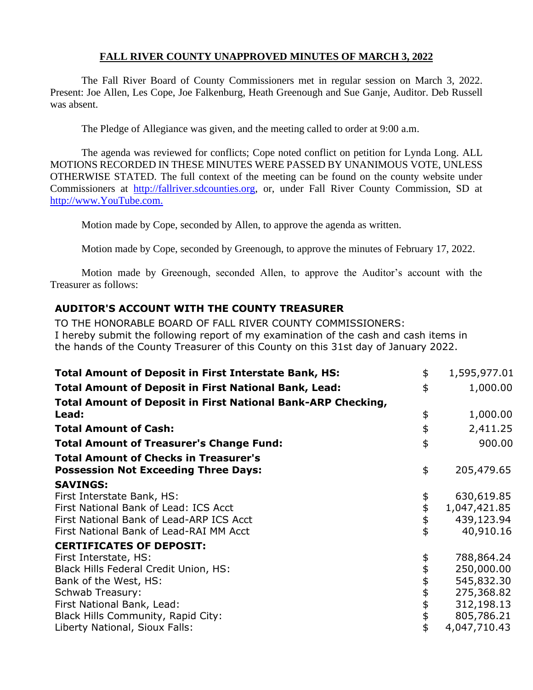## **FALL RIVER COUNTY UNAPPROVED MINUTES OF MARCH 3, 2022**

The Fall River Board of County Commissioners met in regular session on March 3, 2022. Present: Joe Allen, Les Cope, Joe Falkenburg, Heath Greenough and Sue Ganje, Auditor. Deb Russell was absent.

The Pledge of Allegiance was given, and the meeting called to order at 9:00 a.m.

The agenda was reviewed for conflicts; Cope noted conflict on petition for Lynda Long. ALL MOTIONS RECORDED IN THESE MINUTES WERE PASSED BY UNANIMOUS VOTE, UNLESS OTHERWISE STATED. The full context of the meeting can be found on the county website under Commissioners at [http://fallriver.sdcounties.org,](http://fallriver.sdcounties.org/) or, under Fall River County Commission, SD at [http://www.YouTube.com.](http://www.youtube.com/)

Motion made by Cope, seconded by Allen, to approve the agenda as written.

Motion made by Cope, seconded by Greenough, to approve the minutes of February 17, 2022.

Motion made by Greenough, seconded Allen, to approve the Auditor's account with the Treasurer as follows:

# **AUDITOR'S ACCOUNT WITH THE COUNTY TREASURER**

TO THE HONORABLE BOARD OF FALL RIVER COUNTY COMMISSIONERS: I hereby submit the following report of my examination of the cash and cash items in the hands of the County Treasurer of this County on this 31st day of January 2022.

| <b>Total Amount of Deposit in First Interstate Bank, HS:</b>        | \$         | 1,595,977.01 |
|---------------------------------------------------------------------|------------|--------------|
| <b>Total Amount of Deposit in First National Bank, Lead:</b>        | \$         | 1,000.00     |
| <b>Total Amount of Deposit in First National Bank-ARP Checking,</b> |            |              |
| Lead:                                                               | \$         | 1,000.00     |
| <b>Total Amount of Cash:</b>                                        | \$         | 2,411.25     |
| <b>Total Amount of Treasurer's Change Fund:</b>                     | \$         | 900.00       |
| <b>Total Amount of Checks in Treasurer's</b>                        |            |              |
| <b>Possession Not Exceeding Three Days:</b>                         | \$         | 205,479.65   |
| <b>SAVINGS:</b>                                                     |            |              |
| First Interstate Bank, HS:                                          |            | 630,619.85   |
| First National Bank of Lead: ICS Acct                               | \$\$\$     | 1,047,421.85 |
| First National Bank of Lead-ARP ICS Acct                            |            | 439,123.94   |
| First National Bank of Lead-RAI MM Acct                             | \$         | 40,910.16    |
| <b>CERTIFICATES OF DEPOSIT:</b>                                     |            |              |
| First Interstate, HS:                                               | \$         | 788,864.24   |
| Black Hills Federal Credit Union, HS:                               | \$         | 250,000.00   |
| Bank of the West, HS:                                               |            | 545,832.30   |
| Schwab Treasury:                                                    |            | 275,368.82   |
| First National Bank, Lead:                                          |            | 312,198.13   |
| Black Hills Community, Rapid City:                                  | \$\$\$\$\$ | 805,786.21   |
| Liberty National, Sioux Falls:                                      |            | 4,047,710.43 |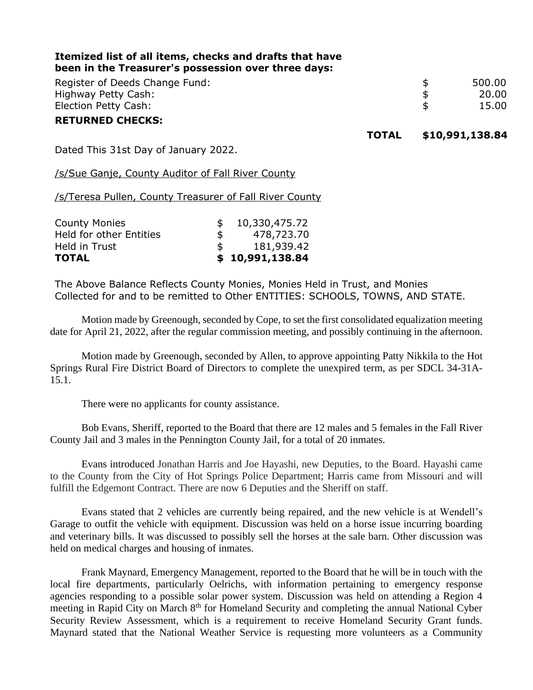| Itemized list of all items, checks and drafts that have<br>been in the Treasurer's possession over three days: |              |                 |        |
|----------------------------------------------------------------------------------------------------------------|--------------|-----------------|--------|
| Register of Deeds Change Fund:                                                                                 |              | \$              | 500.00 |
| Highway Petty Cash:                                                                                            |              | \$              | 20.00  |
| Election Petty Cash:                                                                                           |              | \$              | 15.00  |
| <b>RETURNED CHECKS:</b>                                                                                        |              |                 |        |
|                                                                                                                | <b>TOTAL</b> | \$10,991,138.84 |        |
| Dated This 31st Day of January 2022.                                                                           |              |                 |        |

/s/Sue Ganje, County Auditor of Fall River County

/s/Teresa Pullen, County Treasurer of Fall River County

| <b>County Monies</b>    |     | 10,330,475.72   |
|-------------------------|-----|-----------------|
| Held for other Entities | \$. | 478,723.70      |
| Held in Trust           |     | 181,939.42      |
| <b>TOTAL</b>            |     | \$10,991,138.84 |

The Above Balance Reflects County Monies, Monies Held in Trust, and Monies Collected for and to be remitted to Other ENTITIES: SCHOOLS, TOWNS, AND STATE.

Motion made by Greenough, seconded by Cope, to set the first consolidated equalization meeting date for April 21, 2022, after the regular commission meeting, and possibly continuing in the afternoon.

Motion made by Greenough, seconded by Allen, to approve appointing Patty Nikkila to the Hot Springs Rural Fire District Board of Directors to complete the unexpired term, as per SDCL 34-31A-15.1.

There were no applicants for county assistance.

Bob Evans, Sheriff, reported to the Board that there are 12 males and 5 females in the Fall River County Jail and 3 males in the Pennington County Jail, for a total of 20 inmates.

Evans introduced Jonathan Harris and Joe Hayashi, new Deputies, to the Board. Hayashi came to the County from the City of Hot Springs Police Department; Harris came from Missouri and will fulfill the Edgemont Contract. There are now 6 Deputies and the Sheriff on staff.

Evans stated that 2 vehicles are currently being repaired, and the new vehicle is at Wendell's Garage to outfit the vehicle with equipment. Discussion was held on a horse issue incurring boarding and veterinary bills. It was discussed to possibly sell the horses at the sale barn. Other discussion was held on medical charges and housing of inmates.

Frank Maynard, Emergency Management, reported to the Board that he will be in touch with the local fire departments, particularly Oelrichs, with information pertaining to emergency response agencies responding to a possible solar power system. Discussion was held on attending a Region 4 meeting in Rapid City on March 8<sup>th</sup> for Homeland Security and completing the annual National Cyber Security Review Assessment, which is a requirement to receive Homeland Security Grant funds. Maynard stated that the National Weather Service is requesting more volunteers as a Community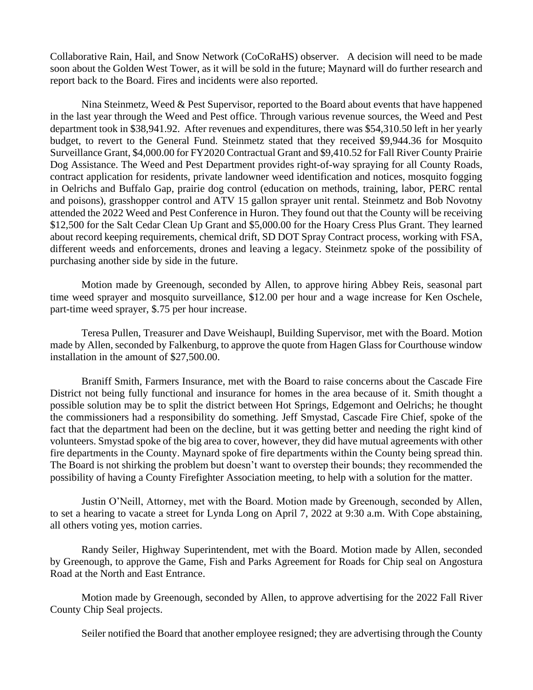Collaborative Rain, Hail, and Snow Network (CoCoRaHS) observer. A decision will need to be made soon about the Golden West Tower, as it will be sold in the future; Maynard will do further research and report back to the Board. Fires and incidents were also reported.

Nina Steinmetz, Weed & Pest Supervisor, reported to the Board about events that have happened in the last year through the Weed and Pest office. Through various revenue sources, the Weed and Pest department took in \$38,941.92. After revenues and expenditures, there was \$54,310.50 left in her yearly budget, to revert to the General Fund. Steinmetz stated that they received \$9,944.36 for Mosquito Surveillance Grant, \$4,000.00 for FY2020 Contractual Grant and \$9,410.52 for Fall River County Prairie Dog Assistance. The Weed and Pest Department provides right-of-way spraying for all County Roads, contract application for residents, private landowner weed identification and notices, mosquito fogging in Oelrichs and Buffalo Gap, prairie dog control (education on methods, training, labor, PERC rental and poisons), grasshopper control and ATV 15 gallon sprayer unit rental. Steinmetz and Bob Novotny attended the 2022 Weed and Pest Conference in Huron. They found out that the County will be receiving \$12,500 for the Salt Cedar Clean Up Grant and \$5,000.00 for the Hoary Cress Plus Grant. They learned about record keeping requirements, chemical drift, SD DOT Spray Contract process, working with FSA, different weeds and enforcements, drones and leaving a legacy. Steinmetz spoke of the possibility of purchasing another side by side in the future.

Motion made by Greenough, seconded by Allen, to approve hiring Abbey Reis, seasonal part time weed sprayer and mosquito surveillance, \$12.00 per hour and a wage increase for Ken Oschele, part-time weed sprayer, \$.75 per hour increase.

Teresa Pullen, Treasurer and Dave Weishaupl, Building Supervisor, met with the Board. Motion made by Allen, seconded by Falkenburg, to approve the quote from Hagen Glass for Courthouse window installation in the amount of \$27,500.00.

Braniff Smith, Farmers Insurance, met with the Board to raise concerns about the Cascade Fire District not being fully functional and insurance for homes in the area because of it. Smith thought a possible solution may be to split the district between Hot Springs, Edgemont and Oelrichs; he thought the commissioners had a responsibility do something. Jeff Smystad, Cascade Fire Chief, spoke of the fact that the department had been on the decline, but it was getting better and needing the right kind of volunteers. Smystad spoke of the big area to cover, however, they did have mutual agreements with other fire departments in the County. Maynard spoke of fire departments within the County being spread thin. The Board is not shirking the problem but doesn't want to overstep their bounds; they recommended the possibility of having a County Firefighter Association meeting, to help with a solution for the matter.

Justin O'Neill, Attorney, met with the Board. Motion made by Greenough, seconded by Allen, to set a hearing to vacate a street for Lynda Long on April 7, 2022 at 9:30 a.m. With Cope abstaining, all others voting yes, motion carries.

Randy Seiler, Highway Superintendent, met with the Board. Motion made by Allen, seconded by Greenough, to approve the Game, Fish and Parks Agreement for Roads for Chip seal on Angostura Road at the North and East Entrance.

Motion made by Greenough, seconded by Allen, to approve advertising for the 2022 Fall River County Chip Seal projects.

Seiler notified the Board that another employee resigned; they are advertising through the County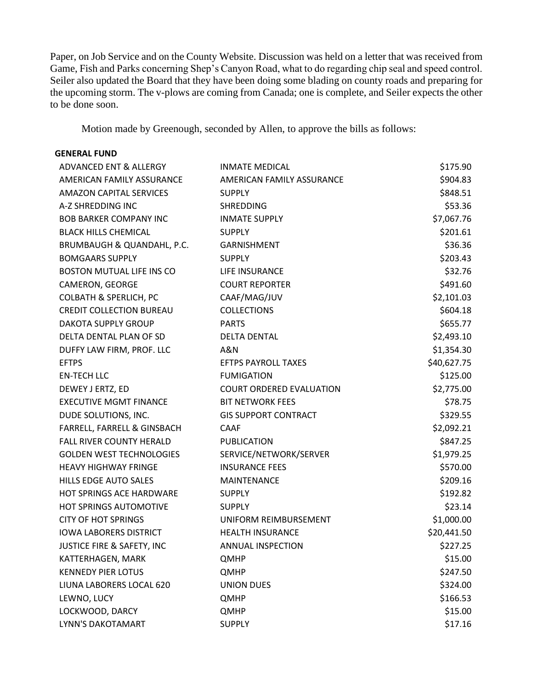Paper, on Job Service and on the County Website. Discussion was held on a letter that was received from Game, Fish and Parks concerning Shep's Canyon Road, what to do regarding chip seal and speed control. Seiler also updated the Board that they have been doing some blading on county roads and preparing for the upcoming storm. The v-plows are coming from Canada; one is complete, and Seiler expects the other to be done soon.

Motion made by Greenough, seconded by Allen, to approve the bills as follows:

#### **GENERAL FUND**

| ADVANCED ENT & ALLERGY            | <b>INMATE MEDICAL</b>           | \$175.90    |
|-----------------------------------|---------------------------------|-------------|
| AMERICAN FAMILY ASSURANCE         | AMERICAN FAMILY ASSURANCE       | \$904.83    |
| <b>AMAZON CAPITAL SERVICES</b>    | <b>SUPPLY</b>                   | \$848.51    |
| A-Z SHREDDING INC                 | <b>SHREDDING</b>                | \$53.36     |
| <b>BOB BARKER COMPANY INC</b>     | <b>INMATE SUPPLY</b>            | \$7,067.76  |
| <b>BLACK HILLS CHEMICAL</b>       | <b>SUPPLY</b>                   | \$201.61    |
| BRUMBAUGH & QUANDAHL, P.C.        | GARNISHMENT                     | \$36.36     |
| <b>BOMGAARS SUPPLY</b>            | <b>SUPPLY</b>                   | \$203.43    |
| BOSTON MUTUAL LIFE INS CO         | LIFE INSURANCE                  | \$32.76     |
| CAMERON, GEORGE                   | <b>COURT REPORTER</b>           | \$491.60    |
| <b>COLBATH &amp; SPERLICH, PC</b> | CAAF/MAG/JUV                    | \$2,101.03  |
| <b>CREDIT COLLECTION BUREAU</b>   | <b>COLLECTIONS</b>              | \$604.18    |
| <b>DAKOTA SUPPLY GROUP</b>        | <b>PARTS</b>                    | \$655.77    |
| DELTA DENTAL PLAN OF SD           | <b>DELTA DENTAL</b>             | \$2,493.10  |
| DUFFY LAW FIRM, PROF. LLC         | A&N                             | \$1,354.30  |
| <b>EFTPS</b>                      | EFTPS PAYROLL TAXES             | \$40,627.75 |
| <b>EN-TECH LLC</b>                | <b>FUMIGATION</b>               | \$125.00    |
| DEWEY J ERTZ, ED                  | <b>COURT ORDERED EVALUATION</b> | \$2,775.00  |
| <b>EXECUTIVE MGMT FINANCE</b>     | <b>BIT NETWORK FEES</b>         | \$78.75     |
| DUDE SOLUTIONS, INC.              | <b>GIS SUPPORT CONTRACT</b>     | \$329.55    |
| FARRELL, FARRELL & GINSBACH       | <b>CAAF</b>                     | \$2,092.21  |
| <b>FALL RIVER COUNTY HERALD</b>   | <b>PUBLICATION</b>              | \$847.25    |
| <b>GOLDEN WEST TECHNOLOGIES</b>   | SERVICE/NETWORK/SERVER          | \$1,979.25  |
| <b>HEAVY HIGHWAY FRINGE</b>       | <b>INSURANCE FEES</b>           | \$570.00    |
| <b>HILLS EDGE AUTO SALES</b>      | MAINTENANCE                     | \$209.16    |
| HOT SPRINGS ACE HARDWARE          | <b>SUPPLY</b>                   | \$192.82    |
| <b>HOT SPRINGS AUTOMOTIVE</b>     | <b>SUPPLY</b>                   | \$23.14     |
| <b>CITY OF HOT SPRINGS</b>        | UNIFORM REIMBURSEMENT           | \$1,000.00  |
| <b>IOWA LABORERS DISTRICT</b>     | <b>HEALTH INSURANCE</b>         | \$20,441.50 |
| JUSTICE FIRE & SAFETY, INC        | ANNUAL INSPECTION               | \$227.25    |
| KATTERHAGEN, MARK                 | QMHP                            | \$15.00     |
| <b>KENNEDY PIER LOTUS</b>         | QMHP                            | \$247.50    |
| LIUNA LABORERS LOCAL 620          | <b>UNION DUES</b>               | \$324.00    |
| LEWNO, LUCY                       | QMHP                            | \$166.53    |
| LOCKWOOD, DARCY                   | QMHP                            | \$15.00     |
| LYNN'S DAKOTAMART                 | <b>SUPPLY</b>                   | \$17.16     |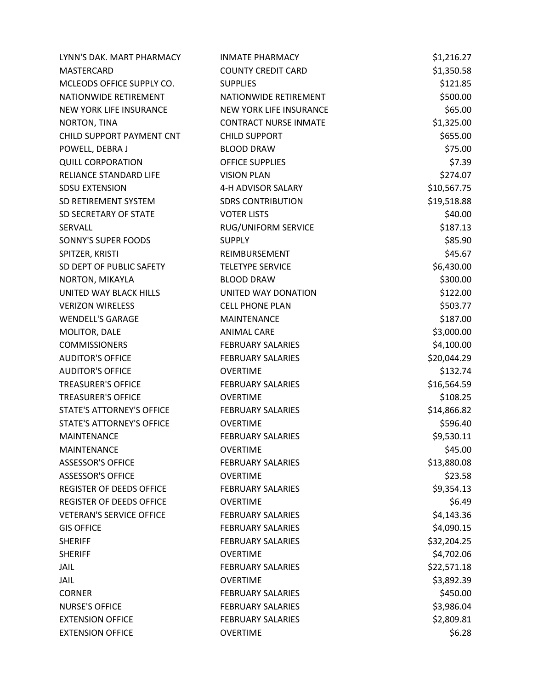| LYNN'S DAK. MART PHARMACY        | <b>INMATE PHARMACY</b>       | \$1,216.27  |
|----------------------------------|------------------------------|-------------|
| <b>MASTERCARD</b>                | <b>COUNTY CREDIT CARD</b>    | \$1,350.58  |
| MCLEODS OFFICE SUPPLY CO.        | <b>SUPPLIES</b>              | \$121.85    |
| NATIONWIDE RETIREMENT            | NATIONWIDE RETIREMENT        | \$500.00    |
| NEW YORK LIFE INSURANCE          | NEW YORK LIFE INSURANCE      | \$65.00     |
| NORTON, TINA                     | <b>CONTRACT NURSE INMATE</b> | \$1,325.00  |
| CHILD SUPPORT PAYMENT CNT        | <b>CHILD SUPPORT</b>         | \$655.00    |
| POWELL, DEBRA J                  | <b>BLOOD DRAW</b>            | \$75.00     |
| <b>QUILL CORPORATION</b>         | <b>OFFICE SUPPLIES</b>       | \$7.39      |
| RELIANCE STANDARD LIFE           | <b>VISION PLAN</b>           | \$274.07    |
| <b>SDSU EXTENSION</b>            | 4-H ADVISOR SALARY           | \$10,567.75 |
| SD RETIREMENT SYSTEM             | <b>SDRS CONTRIBUTION</b>     | \$19,518.88 |
| SD SECRETARY OF STATE            | <b>VOTER LISTS</b>           | \$40.00     |
| SERVALL                          | RUG/UNIFORM SERVICE          | \$187.13    |
| SONNY'S SUPER FOODS              | <b>SUPPLY</b>                | \$85.90     |
| SPITZER, KRISTI                  | REIMBURSEMENT                | \$45.67     |
| SD DEPT OF PUBLIC SAFETY         | <b>TELETYPE SERVICE</b>      | \$6,430.00  |
| NORTON, MIKAYLA                  | <b>BLOOD DRAW</b>            | \$300.00    |
| UNITED WAY BLACK HILLS           | UNITED WAY DONATION          | \$122.00    |
| <b>VERIZON WIRELESS</b>          | <b>CELL PHONE PLAN</b>       | \$503.77    |
| <b>WENDELL'S GARAGE</b>          | <b>MAINTENANCE</b>           | \$187.00    |
| MOLITOR, DALE                    | <b>ANIMAL CARE</b>           | \$3,000.00  |
| <b>COMMISSIONERS</b>             | <b>FEBRUARY SALARIES</b>     | \$4,100.00  |
| <b>AUDITOR'S OFFICE</b>          | <b>FEBRUARY SALARIES</b>     | \$20,044.29 |
| <b>AUDITOR'S OFFICE</b>          | <b>OVERTIME</b>              | \$132.74    |
| <b>TREASURER'S OFFICE</b>        | <b>FEBRUARY SALARIES</b>     | \$16,564.59 |
| <b>TREASURER'S OFFICE</b>        | <b>OVERTIME</b>              | \$108.25    |
| STATE'S ATTORNEY'S OFFICE        | <b>FEBRUARY SALARIES</b>     | \$14,866.82 |
| <b>STATE'S ATTORNEY'S OFFICE</b> | <b>OVERTIME</b>              | \$596.40    |
| <b>MAINTENANCE</b>               | <b>FEBRUARY SALARIES</b>     | \$9,530.11  |
| <b>MAINTENANCE</b>               | <b>OVERTIME</b>              | \$45.00     |
| <b>ASSESSOR'S OFFICE</b>         | <b>FEBRUARY SALARIES</b>     | \$13,880.08 |
| <b>ASSESSOR'S OFFICE</b>         | <b>OVERTIME</b>              | \$23.58     |
| <b>REGISTER OF DEEDS OFFICE</b>  | <b>FEBRUARY SALARIES</b>     | \$9,354.13  |
| <b>REGISTER OF DEEDS OFFICE</b>  | <b>OVERTIME</b>              | \$6.49      |
| <b>VETERAN'S SERVICE OFFICE</b>  | <b>FEBRUARY SALARIES</b>     | \$4,143.36  |
| <b>GIS OFFICE</b>                | <b>FEBRUARY SALARIES</b>     | \$4,090.15  |
| <b>SHERIFF</b>                   | <b>FEBRUARY SALARIES</b>     | \$32,204.25 |
| <b>SHERIFF</b>                   | <b>OVERTIME</b>              | \$4,702.06  |
| <b>JAIL</b>                      | <b>FEBRUARY SALARIES</b>     | \$22,571.18 |
| <b>JAIL</b>                      | <b>OVERTIME</b>              | \$3,892.39  |
| <b>CORNER</b>                    | <b>FEBRUARY SALARIES</b>     | \$450.00    |
| <b>NURSE'S OFFICE</b>            | <b>FEBRUARY SALARIES</b>     | \$3,986.04  |
| <b>EXTENSION OFFICE</b>          | <b>FEBRUARY SALARIES</b>     | \$2,809.81  |
| <b>EXTENSION OFFICE</b>          | <b>OVERTIME</b>              | \$6.28      |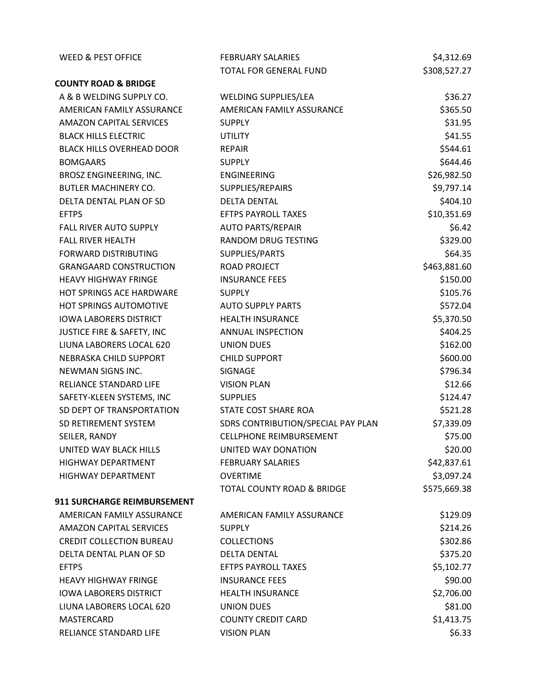| <b>WEED &amp; PEST OFFICE</b>      | <b>FEBRUARY SALARIES</b>              | \$4,312.69   |
|------------------------------------|---------------------------------------|--------------|
|                                    | TOTAL FOR GENERAL FUND                | \$308,527.27 |
| <b>COUNTY ROAD &amp; BRIDGE</b>    |                                       |              |
| A & B WELDING SUPPLY CO.           | WELDING SUPPLIES/LEA                  | \$36.27      |
| AMERICAN FAMILY ASSURANCE          | AMERICAN FAMILY ASSURANCE             | \$365.50     |
| <b>AMAZON CAPITAL SERVICES</b>     | <b>SUPPLY</b>                         | \$31.95      |
| <b>BLACK HILLS ELECTRIC</b>        | <b>UTILITY</b>                        | \$41.55      |
| <b>BLACK HILLS OVERHEAD DOOR</b>   | <b>REPAIR</b>                         | \$544.61     |
| <b>BOMGAARS</b>                    | <b>SUPPLY</b>                         | \$644.46     |
| BROSZ ENGINEERING, INC.            | ENGINEERING                           | \$26,982.50  |
| <b>BUTLER MACHINERY CO.</b>        | SUPPLIES/REPAIRS                      | \$9,797.14   |
| DELTA DENTAL PLAN OF SD            | <b>DELTA DENTAL</b>                   | \$404.10     |
| <b>EFTPS</b>                       | <b>EFTPS PAYROLL TAXES</b>            | \$10,351.69  |
| <b>FALL RIVER AUTO SUPPLY</b>      | <b>AUTO PARTS/REPAIR</b>              | \$6.42       |
| <b>FALL RIVER HEALTH</b>           | RANDOM DRUG TESTING                   | \$329.00     |
| <b>FORWARD DISTRIBUTING</b>        | SUPPLIES/PARTS                        | \$64.35      |
| <b>GRANGAARD CONSTRUCTION</b>      | <b>ROAD PROJECT</b>                   | \$463,881.60 |
| <b>HEAVY HIGHWAY FRINGE</b>        | <b>INSURANCE FEES</b>                 | \$150.00     |
| HOT SPRINGS ACE HARDWARE           | <b>SUPPLY</b>                         | \$105.76     |
| HOT SPRINGS AUTOMOTIVE             | <b>AUTO SUPPLY PARTS</b>              | \$572.04     |
| <b>IOWA LABORERS DISTRICT</b>      | <b>HEALTH INSURANCE</b>               | \$5,370.50   |
| JUSTICE FIRE & SAFETY, INC         | ANNUAL INSPECTION                     | \$404.25     |
| LIUNA LABORERS LOCAL 620           | <b>UNION DUES</b>                     | \$162.00     |
| NEBRASKA CHILD SUPPORT             | <b>CHILD SUPPORT</b>                  | \$600.00     |
| NEWMAN SIGNS INC.                  | SIGNAGE                               | \$796.34     |
| RELIANCE STANDARD LIFE             | <b>VISION PLAN</b>                    | \$12.66      |
| SAFETY-KLEEN SYSTEMS, INC          | <b>SUPPLIES</b>                       | \$124.47     |
| SD DEPT OF TRANSPORTATION          | STATE COST SHARE ROA                  | \$521.28     |
| SD RETIREMENT SYSTEM               | SDRS CONTRIBUTION/SPECIAL PAY PLAN    | \$7,339.09   |
| SEILER, RANDY                      | <b>CELLPHONE REIMBURSEMENT</b>        | \$75.00      |
| UNITED WAY BLACK HILLS             | UNITED WAY DONATION                   | \$20.00      |
| <b>HIGHWAY DEPARTMENT</b>          | <b>FEBRUARY SALARIES</b>              | \$42,837.61  |
| <b>HIGHWAY DEPARTMENT</b>          | <b>OVERTIME</b>                       | \$3,097.24   |
|                                    | <b>TOTAL COUNTY ROAD &amp; BRIDGE</b> | \$575,669.38 |
| <b>911 SURCHARGE REIMBURSEMENT</b> |                                       |              |
| AMERICAN FAMILY ASSURANCE          | AMERICAN FAMILY ASSURANCE             | \$129.09     |
| <b>AMAZON CAPITAL SERVICES</b>     | <b>SUPPLY</b>                         | \$214.26     |
| <b>CREDIT COLLECTION BUREAU</b>    | <b>COLLECTIONS</b>                    | \$302.86     |
| DELTA DENTAL PLAN OF SD            | <b>DELTA DENTAL</b>                   | \$375.20     |
| <b>EFTPS</b>                       | <b>EFTPS PAYROLL TAXES</b>            | \$5,102.77   |
| <b>HEAVY HIGHWAY FRINGE</b>        | <b>INSURANCE FEES</b>                 | \$90.00      |
| <b>IOWA LABORERS DISTRICT</b>      | <b>HEALTH INSURANCE</b>               | \$2,706.00   |
| LIUNA LABORERS LOCAL 620           | <b>UNION DUES</b>                     | \$81.00      |
| MASTERCARD                         | <b>COUNTY CREDIT CARD</b>             | \$1,413.75   |
| RELIANCE STANDARD LIFE             | <b>VISION PLAN</b>                    | \$6.33       |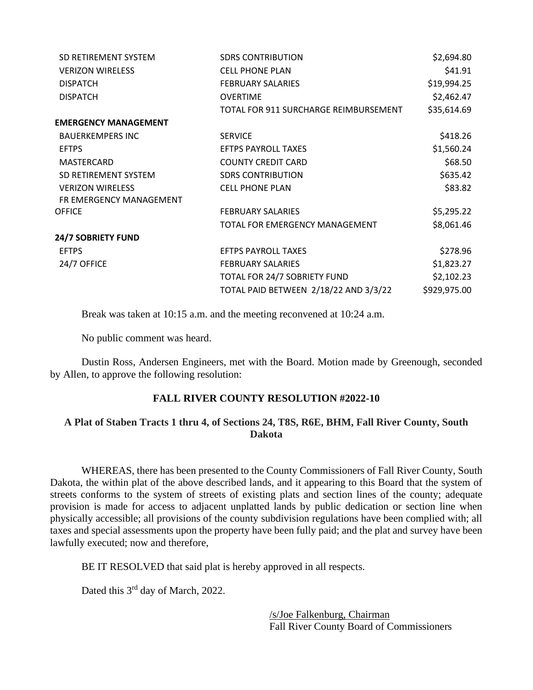| SD RETIREMENT SYSTEM        | <b>SDRS CONTRIBUTION</b>              | \$2,694.80   |
|-----------------------------|---------------------------------------|--------------|
| <b>VERIZON WIRELESS</b>     | <b>CELL PHONE PLAN</b>                | \$41.91      |
| <b>DISPATCH</b>             | <b>FEBRUARY SALARIES</b>              | \$19,994.25  |
| <b>DISPATCH</b>             | <b>OVERTIME</b>                       | \$2,462.47   |
|                             | TOTAL FOR 911 SURCHARGE REIMBURSEMENT | \$35,614.69  |
| <b>EMERGENCY MANAGEMENT</b> |                                       |              |
| <b>BAUERKEMPERS INC</b>     | <b>SERVICE</b>                        | \$418.26     |
| <b>EFTPS</b>                | <b>EFTPS PAYROLL TAXES</b>            | \$1,560.24   |
| MASTERCARD                  | <b>COUNTY CREDIT CARD</b>             | \$68.50      |
| SD RETIREMENT SYSTEM        | <b>SDRS CONTRIBUTION</b>              | \$635.42     |
| <b>VERIZON WIRELESS</b>     | <b>CELL PHONE PLAN</b>                | \$83.82      |
| FR EMERGENCY MANAGEMENT     |                                       |              |
| <b>OFFICE</b>               | <b>FEBRUARY SALARIES</b>              | \$5,295.22   |
|                             | TOTAL FOR EMERGENCY MANAGEMENT        | \$8,061.46   |
| 24/7 SOBRIETY FUND          |                                       |              |
| <b>EFTPS</b>                | <b>EFTPS PAYROLL TAXES</b>            | \$278.96     |
| 24/7 OFFICE                 | <b>FEBRUARY SALARIES</b>              | \$1,823.27   |
|                             | TOTAL FOR 24/7 SOBRIETY FUND          | \$2,102.23   |
|                             | TOTAL PAID BETWEEN 2/18/22 AND 3/3/22 | \$929,975.00 |
|                             |                                       |              |

Break was taken at 10:15 a.m. and the meeting reconvened at 10:24 a.m.

No public comment was heard.

Dustin Ross, Andersen Engineers, met with the Board. Motion made by Greenough, seconded by Allen, to approve the following resolution:

# **FALL RIVER COUNTY RESOLUTION #2022-10**

### **A Plat of Staben Tracts 1 thru 4, of Sections 24, T8S, R6E, BHM, Fall River County, South Dakota**

WHEREAS, there has been presented to the County Commissioners of Fall River County, South Dakota, the within plat of the above described lands, and it appearing to this Board that the system of streets conforms to the system of streets of existing plats and section lines of the county; adequate provision is made for access to adjacent unplatted lands by public dedication or section line when physically accessible; all provisions of the county subdivision regulations have been complied with; all taxes and special assessments upon the property have been fully paid; and the plat and survey have been lawfully executed; now and therefore,

BE IT RESOLVED that said plat is hereby approved in all respects.

Dated this 3<sup>rd</sup> day of March, 2022.

/s/Joe Falkenburg, Chairman Fall River County Board of Commissioners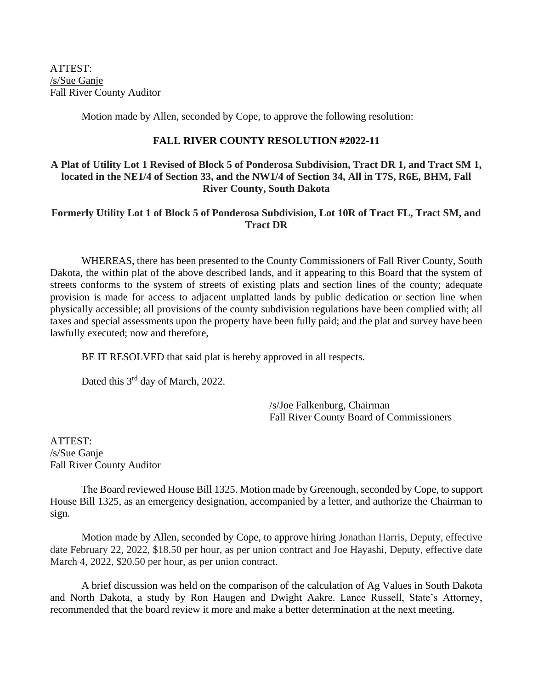ATTEST: /s/Sue Ganje Fall River County Auditor

Motion made by Allen, seconded by Cope, to approve the following resolution:

## **FALL RIVER COUNTY RESOLUTION #2022-11**

# **A Plat of Utility Lot 1 Revised of Block 5 of Ponderosa Subdivision, Tract DR 1, and Tract SM 1, located in the NE1/4 of Section 33, and the NW1/4 of Section 34, All in T7S, R6E, BHM, Fall River County, South Dakota**

# **Formerly Utility Lot 1 of Block 5 of Ponderosa Subdivision, Lot 10R of Tract FL, Tract SM, and Tract DR**

WHEREAS, there has been presented to the County Commissioners of Fall River County, South Dakota, the within plat of the above described lands, and it appearing to this Board that the system of streets conforms to the system of streets of existing plats and section lines of the county; adequate provision is made for access to adjacent unplatted lands by public dedication or section line when physically accessible; all provisions of the county subdivision regulations have been complied with; all taxes and special assessments upon the property have been fully paid; and the plat and survey have been lawfully executed; now and therefore,

BE IT RESOLVED that said plat is hereby approved in all respects.

Dated this 3<sup>rd</sup> day of March, 2022.

/s/Joe Falkenburg, Chairman Fall River County Board of Commissioners

ATTEST: /s/Sue Ganje Fall River County Auditor

The Board reviewed House Bill 1325. Motion made by Greenough, seconded by Cope, to support House Bill 1325, as an emergency designation, accompanied by a letter, and authorize the Chairman to sign.

Motion made by Allen, seconded by Cope, to approve hiring Jonathan Harris, Deputy, effective date February 22, 2022, \$18.50 per hour, as per union contract and Joe Hayashi, Deputy, effective date March 4, 2022, \$20.50 per hour, as per union contract.

A brief discussion was held on the comparison of the calculation of Ag Values in South Dakota and North Dakota, a study by Ron Haugen and Dwight Aakre. Lance Russell, State's Attorney, recommended that the board review it more and make a better determination at the next meeting.